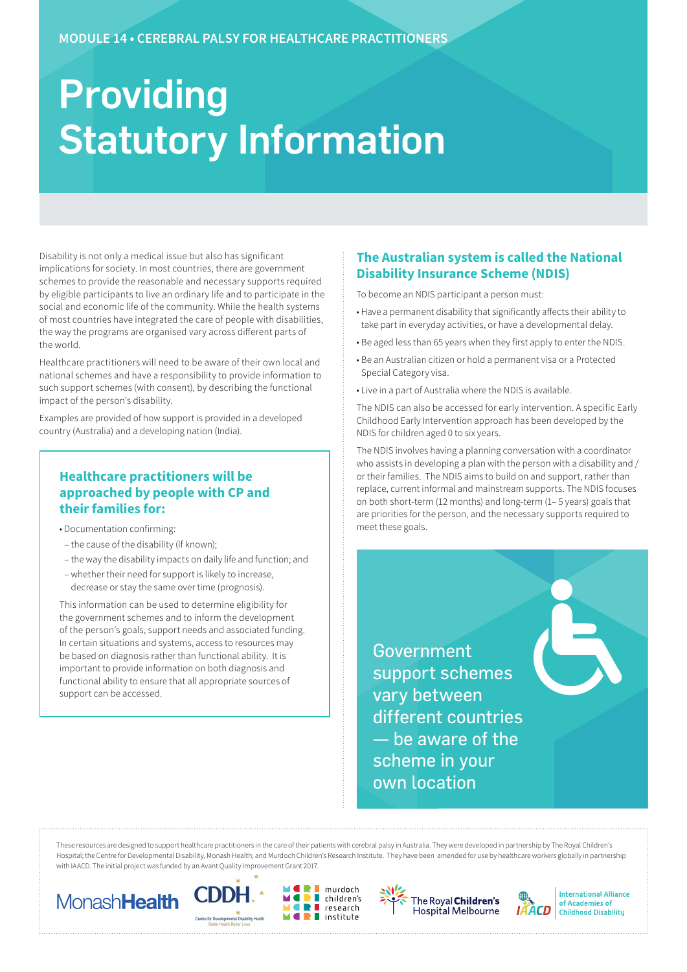# Providing Statutory Information

Disability is not only a medical issue but also has significant implications for society. In most countries, there are government schemes to provide the reasonable and necessary supports required by eligible participants to live an ordinary life and to participate in the social and economic life of the community. While the health systems of most countries have integrated the care of people with disabilities, the way the programs are organised vary across different parts of the world.

Healthcare practitioners will need to be aware of their own local and national schemes and have a responsibility to provide information to such support schemes (with consent), by describing the functional impact of the person's disability.

Examples are provided of how support is provided in a developed country (Australia) and a developing nation (India).

# **Healthcare practitioners will be approached by people with CP and their families for:**

- Documentation confirming:
- the cause of the disability (if known);
- the way the disability impacts on daily life and function; and
- whether their need for support is likely to increase, decrease or stay the same over time (prognosis).

This information can be used to determine eligibility for the government schemes and to inform the development of the person's goals, support needs and associated funding. In certain situations and systems, access to resources may be based on diagnosis rather than functional ability. It is important to provide information on both diagnosis and functional ability to ensure that all appropriate sources of support can be accessed.

## **The Australian system is called the National Disability Insurance Scheme (NDIS)**

To become an NDIS participant a person must:

- Have a permanent disability that significantly affects their ability to take part in everyday activities, or have a developmental delay.
- Be aged less than 65 years when they first apply to enter the NDIS.
- Be an Australian citizen or hold a permanent visa or a Protected Special Category visa.
- Live in a part of Australia where the NDIS is available.

The NDIS can also be accessed for early intervention. A specific Early Childhood Early Intervention approach has been developed by the NDIS for children aged 0 to six years.

The NDIS involves having a planning conversation with a coordinator who assists in developing a plan with the person with a disability and / or their families. The NDIS aims to build on and support, rather than replace, current informal and mainstream supports. The NDIS focuses on both short-term (12 months) and long-term (1– 5 years) goals that are priorities for the person, and the necessary supports required to meet these goals.

Government support schemes vary between different countries — be aware of the scheme in your own location

These resources are designed to support healthcare practitioners in the care of their patients with cerebral palsy in Australia. They were developed in partnership by The Royal Children's Hospital; the Centre for Developmental Disability, Monash Health; and Murdoch Children's Research Institute. They have been amended for use by healthcare workers globally in partnership with IAACD. The initial project was funded by an Avant Quality Improvement Grant 2017.

ÌĪ











**International Alliance** of Academies of **Childhood Disability**